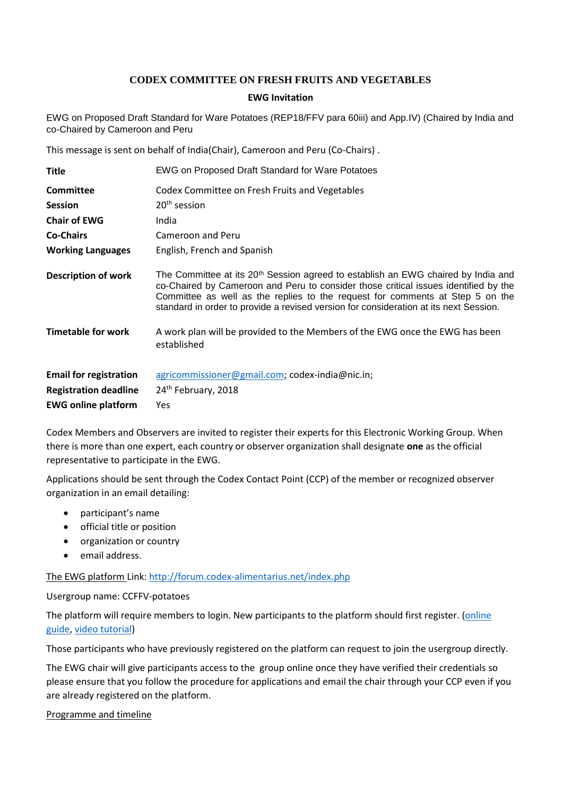## **CODEX COMMITTEE ON FRESH FRUITS AND VEGETABLES**

## **EWG Invitation**

EWG on Proposed Draft Standard for Ware Potatoes (REP18/FFV para 60iii) and App.IV) (Chaired by India and co-Chaired by Cameroon and Peru

This message is sent on behalf of India(Chair), Cameroon and Peru (Co-Chairs) .

| <b>Title</b>                  | EWG on Proposed Draft Standard for Ware Potatoes                                                                                                                                                                                                                                                                                                               |
|-------------------------------|----------------------------------------------------------------------------------------------------------------------------------------------------------------------------------------------------------------------------------------------------------------------------------------------------------------------------------------------------------------|
| <b>Committee</b>              | Codex Committee on Fresh Fruits and Vegetables                                                                                                                                                                                                                                                                                                                 |
| <b>Session</b>                | $20th$ session                                                                                                                                                                                                                                                                                                                                                 |
| <b>Chair of EWG</b>           | India                                                                                                                                                                                                                                                                                                                                                          |
| <b>Co-Chairs</b>              | Cameroon and Peru                                                                                                                                                                                                                                                                                                                                              |
| <b>Working Languages</b>      | English, French and Spanish                                                                                                                                                                                                                                                                                                                                    |
| <b>Description of work</b>    | The Committee at its 20 <sup>th</sup> Session agreed to establish an EWG chaired by India and<br>co-Chaired by Cameroon and Peru to consider those critical issues identified by the<br>Committee as well as the replies to the request for comments at Step 5 on the<br>standard in order to provide a revised version for consideration at its next Session. |
| <b>Timetable for work</b>     | A work plan will be provided to the Members of the EWG once the EWG has been<br>established                                                                                                                                                                                                                                                                    |
| <b>Email for registration</b> | agricommissioner@gmail.com; codex-india@nic.in;                                                                                                                                                                                                                                                                                                                |
| <b>Registration deadline</b>  | 24th February, 2018                                                                                                                                                                                                                                                                                                                                            |
| <b>EWG online platform</b>    | Yes                                                                                                                                                                                                                                                                                                                                                            |

Codex Members and Observers are invited to register their experts for this Electronic Working Group. When there is more than one expert, each country or observer organization shall designate **one** as the official representative to participate in the EWG.

Applications should be sent through the Codex Contact Point (CCP) of the member or recognized observer organization in an email detailing:

- participant's name
- **•** official title or position
- organization or country
- email address.

The EWG platform Link[: http://forum.codex-alimentarius.net/index.php](http://forum.codex-alimentarius.net/index.php)

Usergroup name: CCFFV-potatoes

The platform will require members to login. New participants to the platform should first register. (online [guide,](http://forum.codex-alimentarius.net/viewtopic.php?f=13&t=11) [video tutorial\)](https://youtu.be/EJn9k7wNSwk)

Those participants who have previously registered on the platform can request to join the usergroup directly.

The EWG chair will give participants access to the group online once they have verified their credentials so please ensure that you follow the procedure for applications and email the chair through your CCP even if you are already registered on the platform.

## Programme and timeline